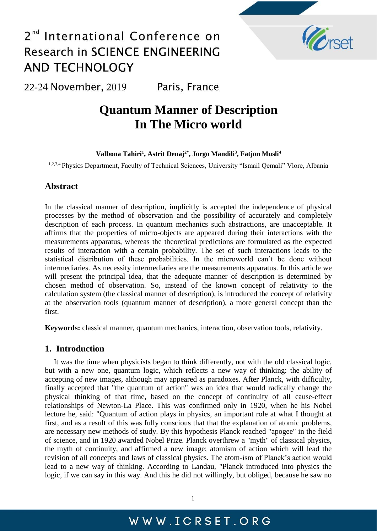

22-24 November, 2019 Paris, France

## **Quantum Manner of Description In The Micro world**

**Valbona Tahiri<sup>1</sup> , Astrit Denaj2\* , Jorgo Mandili<sup>3</sup> , Fatjon Musli<sup>4</sup>**

1,2,3,4 Physics Department, Faculty of Technical Sciences, University "Ismail Qemali" Vlore, Albania

### **Abstract**

In the classical manner of description, implicitly is accepted the independence of physical processes by the method of observation and the possibility of accurately and completely description of each process. In quantum mechanics such abstractions, are unacceptable. It affirms that the properties of micro-objects are appeared during their interactions with the measurements apparatus, whereas the theoretical predictions are formulated as the expected results of interaction with a certain probability. The set of such interactions leads to the statistical distribution of these probabilities. In the microworld can't be done without intermediaries. As necessity intermediaries are the measurements apparatus. In this article we will present the principal idea, that the adequate manner of description is determined by chosen method of observation. So, instead of the known concept of relativity to the calculation system (the classical manner of description), is introduced the concept of relativity at the observation tools (quantum manner of description), a more general concept than the first.

**Keywords:** classical manner, quantum mechanics, interaction, observation tools, relativity.

#### **1. Introduction**

It was the time when physicists began to think differently, not with the old classical logic, but with a new one, quantum logic, which reflects a new way of thinking: the ability of accepting of new images, although may appeared as paradoxes. After Planck, with difficulty, finally accepted that "the quantum of action" was an idea that would radically change the physical thinking of that time, based on the concept of continuity of all cause-effect relationships of Newton-La Place. This was confirmed only in 1920, when he his Nobel lecture he, said: "Quantum of action plays in physics, an important role at what I thought at first, and as a result of this was fully conscious that that the explanation of atomic problems, are necessary new methods of study. By this hypothesis Planck reached "apogee" in the field of science, and in 1920 awarded Nobel Prize. Planck overthrew a "myth" of classical physics, the myth of continuity, and affirmed a new image; atomism of action which will lead the revision of all concepts and laws of classical physics. The atom-ism of Planck's action would lead to a new way of thinking. According to Landau, "Planck introduced into physics the logic, if we can say in this way. And this he did not willingly, but obliged, because he saw no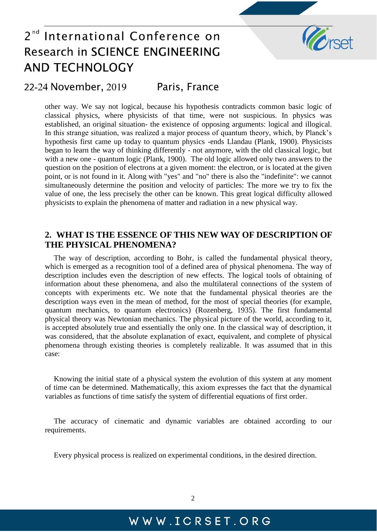

### 22-24 November, 2019 Paris, France

other way. We say not logical, because his hypothesis contradicts common basic logic of classical physics, where physicists of that time, were not suspicious. In physics was established, an original situation- the existence of opposing arguments: logical and illogical. In this strange situation, was realized a major process of quantum theory, which, by Planck's hypothesis first came up today to quantum physics -ends Llandau (Plank, 1900). Physicists began to learn the way of thinking differently - not anymore, with the old classical logic, but with a new one - quantum logic (Plank, 1900). The old logic allowed only two answers to the question on the position of electrons at a given moment: the electron, or is located at the given point, or is not found in it. Along with "yes" and "no" there is also the "indefinite": we cannot simultaneously determine the position and velocity of particles: The more we try to fix the value of one, the less precisely the other can be known. This great logical difficulty allowed physicists to explain the phenomena of matter and radiation in a new physical way.

### **2. WHAT IS THE ESSENCE OF THIS NEW WAY OF DESCRIPTION OF THE PHYSICAL PHENOMENA?**

The way of description, according to Bohr, is called the fundamental physical theory, which is emerged as a recognition tool of a defined area of physical phenomena. The way of description includes even the description of new effects. The logical tools of obtaining of information about these phenomena, and also the multilateral connections of the system of concepts with experiments etc. We note that the fundamental physical theories are the description ways even in the mean of method, for the most of special theories (for example, quantum mechanics, to quantum electronics) (Rozenberg, 1935). The first fundamental physical theory was Newtonian mechanics. The physical picture of the world, according to it, is accepted absolutely true and essentially the only one. In the classical way of description, it was considered, that the absolute explanation of exact, equivalent, and complete of physical phenomena through existing theories is completely realizable. It was assumed that in this case:

Knowing the initial state of a physical system the evolution of this system at any moment of time can be determined. Mathematically, this axiom expresses the fact that the dynamical variables as functions of time satisfy the system of differential equations of first order.

The accuracy of cinematic and dynamic variables are obtained according to our requirements.

Every physical process is realized on experimental conditions, in the desired direction.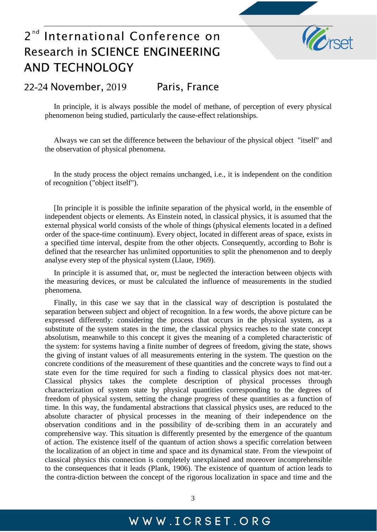

### 22-24 November, 2019 Paris, France

In principle, it is always possible the model of methane, of perception of every physical phenomenon being studied, particularly the cause-effect relationships.

Always we can set the difference between the behaviour of the physical object "itself" and the observation of physical phenomena.

In the study process the object remains unchanged, i.e., it is independent on the condition of recognition ("object itself").

[In principle it is possible the infinite separation of the physical world, in the ensemble of independent objects or elements. As Einstein noted, in classical physics, it is assumed that the external physical world consists of the whole of things (physical elements located in a defined order of the space-time continuum). Every object, located in different areas of space, exists in a specified time interval, despite from the other objects. Consequently, according to Bohr is defined that the researcher has unlimited opportunities to split the phenomenon and to deeply analyse every step of the physical system (Llaue, 1969).

In principle it is assumed that, or, must be neglected the interaction between objects with the measuring devices, or must be calculated the influence of measurements in the studied phenomena.

Finally, in this case we say that in the classical way of description is postulated the separation between subject and object of recognition. In a few words, the above picture can be expressed differently: considering the process that occurs in the physical system, as a substitute of the system states in the time, the classical physics reaches to the state concept absolutism, meanwhile to this concept it gives the meaning of a completed characteristic of the system: for systems having a finite number of degrees of freedom, giving the state, shows the giving of instant values of all measurements entering in the system. The question on the concrete conditions of the measurement of these quantities and the concrete ways to find out a state even for the time required for such a finding to classical physics does not mat-ter. Classical physics takes the complete description of physical processes through characterization of system state by physical quantities corresponding to the degrees of freedom of physical system, setting the change progress of these quantities as a function of time. In this way, the fundamental abstractions that classical physics uses, are reduced to the absolute character of physical processes in the meaning of their independence on the observation conditions and in the possibility of de-scribing them in an accurately and comprehensive way. This situation is differently presented by the emergence of the quantum of action. The existence itself of the quantum of action shows a specific correlation between the localization of an object in time and space and its dynamical state. From the viewpoint of classical physics this connection is completely unexplained and moreover incomprehensible to the consequences that it leads (Plank, 1906). The existence of quantum of action leads to the contra-diction between the concept of the rigorous localization in space and time and the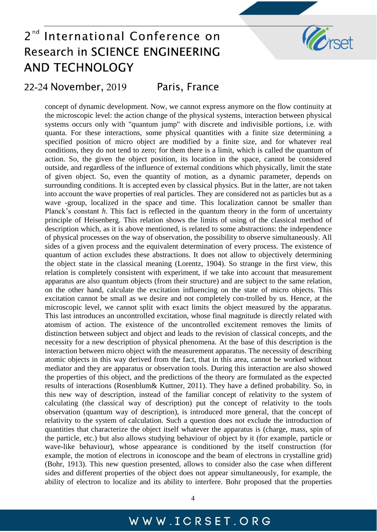

### 22-24 November, 2019 Paris, France

concept of dynamic development. Now, we cannot express anymore on the flow continuity at the microscopic level: the action change of the physical systems, interaction between physical systems occurs only with "quantum jump" with discrete and indivisible portions, i.e. with quanta. For these interactions, some physical quantities with a finite size determining a specified position of micro object are modified by a finite size, and for whatever real conditions, they do not tend to zero; for them there is a limit, which is called the quantum of action. So, the given the object position, its location in the space, cannot be considered outside, and regardless of the influence of external conditions which physically, limit the state of given object. So, even the quantity of motion, as a dynamic parameter, depends on surrounding conditions. It is accepted even by classical physics. But in the latter, are not taken into account the wave properties of real particles. They are considered not as particles but as a wave -group, localized in the space and time. This localization cannot be smaller than Planck's constant *h*. This fact is reflected in the quantum theory in the form of uncertainty principle of Heisenberg. This relation shows the limits of using of the classical method of description which, as it is above mentioned, is related to some abstractions: the independence of physical processes on the way of observation, the possibility to observe simultaneously. All sides of a given process and the equivalent determination of every process. The existence of quantum of action excludes these abstractions. It does not allow to objectively determining the object state in the classical meaning (Lorentz, 1904). So strange in the first view, this relation is completely consistent with experiment, if we take into account that measurement apparatus are also quantum objects (from their structure) and are subject to the same relation, on the other hand, calculate the excitation influencing on the state of micro objects. This excitation cannot be small as we desire and not completely con-trolled by us. Hence, at the microscopic level, we cannot split with exact limits the object measured by the apparatus. This last introduces an uncontrolled excitation, whose final magnitude is directly related with atomism of action. The existence of the uncontrolled excitement removes the limits of distinction between subject and object and leads to the revision of classical concepts, and the necessity for a new description of physical phenomena. At the base of this description is the interaction between micro object with the measurement apparatus. The necessity of describing atomic objects in this way derived from the fact, that in this area, cannot be worked without mediator and they are apparatus or observation tools. During this interaction are also showed the properties of this object, and the predictions of the theory are formulated as the expected results of interactions (Rosenblum& Kuttner, 2011). They have a defined probability. So, in this new way of description, instead of the familiar concept of relativity to the system of calculating (the classical way of description) put the concept of relativity to the tools observation (quantum way of description), is introduced more general, that the concept of relativity to the system of calculation. Such a question does not exclude the introduction of quantities that characterize the object itself whatever the apparatus is (charge, mass, spin of the particle, etc.) but also allows studying behaviour of object by it (for example, particle or wave-like behaviour), whose appearance is conditioned by the itself construction (for example, the motion of electrons in iconoscope and the beam of electrons in crystalline grid) (Bohr, 1913). This new question presented, allows to consider also the case when different sides and different properties of the object does not appear simultaneously, for example, the ability of electron to localize and its ability to interfere. Bohr proposed that the properties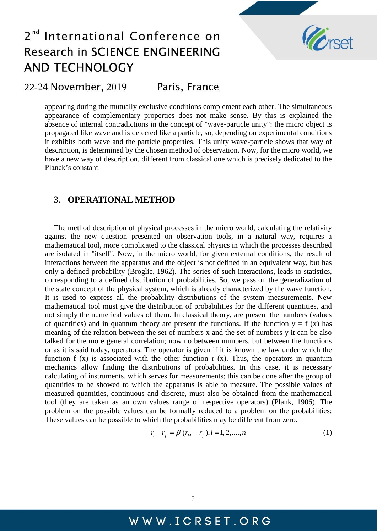

#### Paris, France 22-24 November, 2019

appearing during the mutually exclusive conditions complement each other. The simultaneous appearance of complementary properties does not make sense. By this is explained the absence of internal contradictions in the concept of "wave-particle unity": the micro object is propagated like wave and is detected like a particle, so, depending on experimental conditions it exhibits both wave and the particle properties. This unity wave-particle shows that way of description, is determined by the chosen method of observation. Now, for the micro world, we have a new way of description, different from classical one which is precisely dedicated to the Planck's constant.

### 3. **OPERATIONAL METHOD**

The method description of physical processes in the micro world, calculating the relativity against the new question presented on observation tools, in a natural way, requires a mathematical tool, more complicated to the classical physics in which the processes described are isolated in "itself". Now, in the micro world, for given external conditions, the result of interactions between the apparatus and the object is not defined in an equivalent way, but has only a defined probability (Broglie, 1962). The series of such interactions, leads to statistics, corresponding to a defined distribution of probabilities. So, we pass on the generalization of the state concept of the physical system, which is already characterized by the wave function. It is used to express all the probability distributions of the system measurements. New mathematical tool must give the distribution of probabilities for the different quantities, and not simply the numerical values of them. In classical theory, are present the numbers (values of quantities) and in quantum theory are present the functions. If the function  $y = f(x)$  has meaning of the relation between the set of numbers x and the set of numbers y it can be also talked for the more general correlation; now no between numbers, but between the functions or as it is said today, operators. The operator is given if it is known the law under which the function f  $(x)$  is associated with the other function r  $(x)$ . Thus, the operators in quantum mechanics allow finding the distributions of probabilities. In this case, it is necessary calculating of instruments, which serves for measurements; this can be done after the group of quantities to be showed to which the apparatus is able to measure. The possible values of measured quantities, continuous and discrete, must also be obtained from the mathematical tool (they are taken as an own values range of respective operators) (Plank, 1906). The problem on the possible values can be formally reduced to a problem on the probabilities: These values can be possible to which the probabilities may be different from zero.

$$
r_i - r_f = \beta_i (r_M - r_f), i = 1, 2, ..., n
$$
 (1)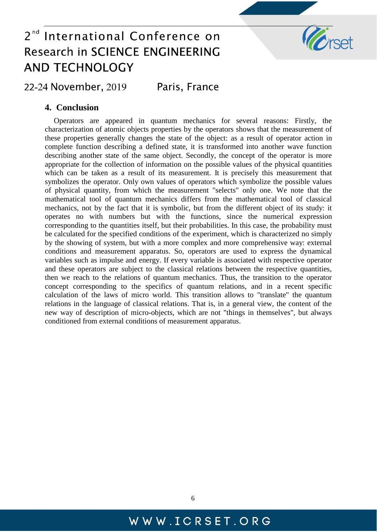

22-24 November, 2019 Paris, France

### **4. Conclusion**

Operators are appeared in quantum mechanics for several reasons: Firstly, the characterization of atomic objects properties by the operators shows that the measurement of these properties generally changes the state of the object: as a result of operator action in complete function describing a defined state, it is transformed into another wave function describing another state of the same object. Secondly, the concept of the operator is more appropriate for the collection of information on the possible values of the physical quantities which can be taken as a result of its measurement. It is precisely this measurement that symbolizes the operator. Only own values of operators which symbolize the possible values of physical quantity, from which the measurement "selects" only one. We note that the mathematical tool of quantum mechanics differs from the mathematical tool of classical mechanics, not by the fact that it is symbolic, but from the different object of its study: it operates no with numbers but with the functions, since the numerical expression corresponding to the quantities itself, but their probabilities. In this case, the probability must be calculated for the specified conditions of the experiment, which is characterized no simply by the showing of system, but with a more complex and more comprehensive way: external conditions and measurement apparatus. So, operators are used to express the dynamical variables such as impulse and energy. If every variable is associated with respective operator and these operators are subject to the classical relations between the respective quantities, then we reach to the relations of quantum mechanics. Thus, the transition to the operator concept corresponding to the specifics of quantum relations, and in a recent specific calculation of the laws of micro world. This transition allows to "translate" the quantum relations in the language of classical relations. That is, in a general view, the content of the new way of description of micro-objects, which are not "things in themselves", but always conditioned from external conditions of measurement apparatus.